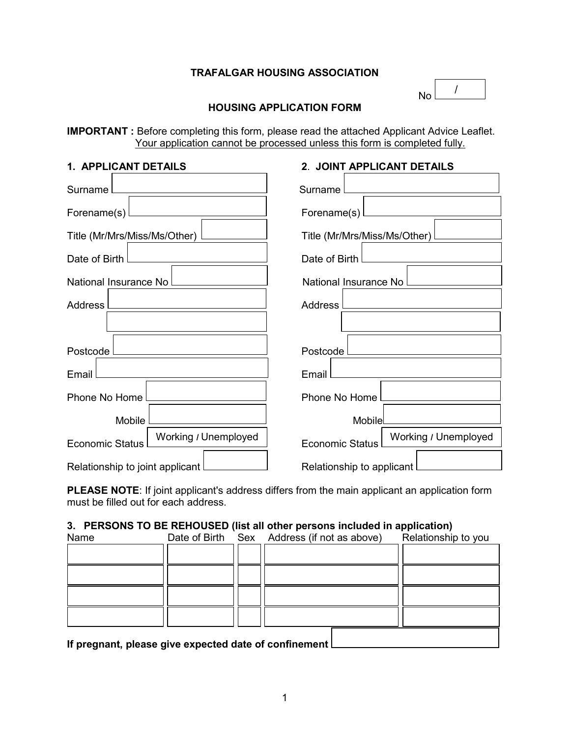## **TRAFALGAR HOUSING ASSOCIATION**

| Nη |
|----|

## **HOUSING APPLICATION FORM**

**IMPORTANT :** Before completing this form, please read the attached Applicant Advice Leaflet. Your application cannot be processed unless this form is completed fully.

| 1. APPLICANT DETAILS                           | 2. JOINT APPLICANT DETAILS                     |
|------------------------------------------------|------------------------------------------------|
| Surname                                        | Surname I                                      |
| Forename(s)                                    | Forename(s)                                    |
| Title (Mr/Mrs/Miss/Ms/Other)                   | Title (Mr/Mrs/Miss/Ms/Other)                   |
| Date of Birth                                  | Date of Birth                                  |
| National Insurance No                          | National Insurance No                          |
| Address                                        | Address I                                      |
|                                                |                                                |
| Postcode                                       | Postcode l                                     |
| Email                                          | Email                                          |
| Phone No Home                                  | Phone No Home                                  |
| Mobile                                         | Mobile                                         |
| Working / Unemployed<br><b>Economic Status</b> | Working / Unemployed<br><b>Economic Status</b> |
| Relationship to joint applicant                | Relationship to applicant                      |

**PLEASE NOTE**: If joint applicant's address differs from the main applicant an application form must be filled out for each address.

## **3. PERSONS TO BE REHOUSED (list all other persons included in application)**

| Name                                                  |  | Date of Birth Sex Address (if not as above) | Relationship to you |
|-------------------------------------------------------|--|---------------------------------------------|---------------------|
|                                                       |  |                                             |                     |
|                                                       |  |                                             |                     |
|                                                       |  |                                             |                     |
|                                                       |  |                                             |                     |
| If pregnant, please give expected date of confinement |  |                                             |                     |

**If pregnant, please give expected date of confinement**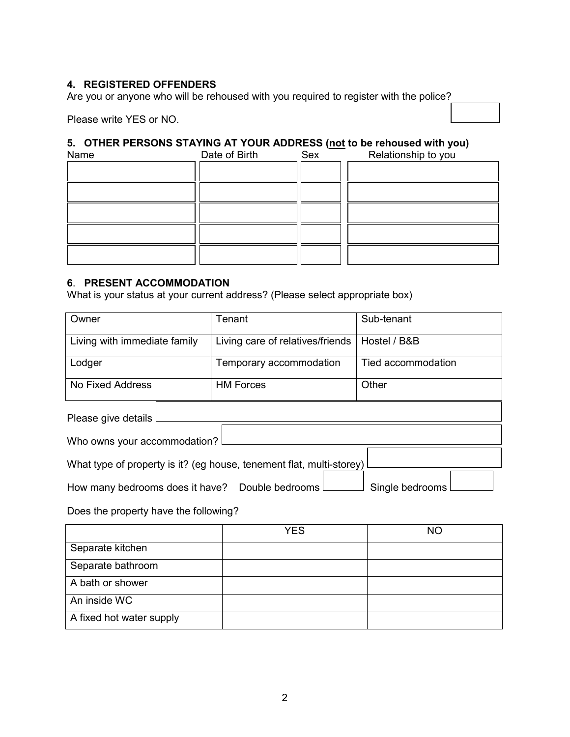## **4. REGISTERED OFFENDERS**

Are you or anyone who will be rehoused with you required to register with the police?

Please write YES or NO.

# **5. OTHER PERSONS STAYING AT YOUR ADDRESS (not to be rehoused with you)**

| Name | Date of Birth | Sex | Relationship to you |
|------|---------------|-----|---------------------|
|      |               |     |                     |
|      |               |     |                     |
|      |               |     |                     |
|      |               |     |                     |
|      |               |     |                     |

## **6**. **PRESENT ACCOMMODATION**

What is your status at your current address? (Please select appropriate box)

| Owner                                                              | Tenant                                                               | Sub-tenant         |  |  |
|--------------------------------------------------------------------|----------------------------------------------------------------------|--------------------|--|--|
|                                                                    |                                                                      |                    |  |  |
| Living with immediate family                                       | Living care of relatives/friends                                     | Hostel / B&B       |  |  |
|                                                                    |                                                                      |                    |  |  |
| Lodger                                                             | Temporary accommodation                                              | Tied accommodation |  |  |
|                                                                    |                                                                      |                    |  |  |
| No Fixed Address                                                   | <b>HM Forces</b>                                                     | Other              |  |  |
|                                                                    |                                                                      |                    |  |  |
| Please give details l                                              |                                                                      |                    |  |  |
|                                                                    |                                                                      |                    |  |  |
| Who owns your accommodation?                                       |                                                                      |                    |  |  |
|                                                                    |                                                                      |                    |  |  |
|                                                                    | What type of property is it? (eg house, tenement flat, multi-storey) |                    |  |  |
|                                                                    |                                                                      |                    |  |  |
| How many bedrooms does it have? Double bedrooms<br>Single bedrooms |                                                                      |                    |  |  |
|                                                                    |                                                                      |                    |  |  |
| Does the property have the following?                              |                                                                      |                    |  |  |
|                                                                    | $\sqrt{2}$                                                           | $\sim$             |  |  |

|                          | <b>YES</b> | <b>NO</b> |
|--------------------------|------------|-----------|
| Separate kitchen         |            |           |
| Separate bathroom        |            |           |
| A bath or shower         |            |           |
| An inside WC             |            |           |
| A fixed hot water supply |            |           |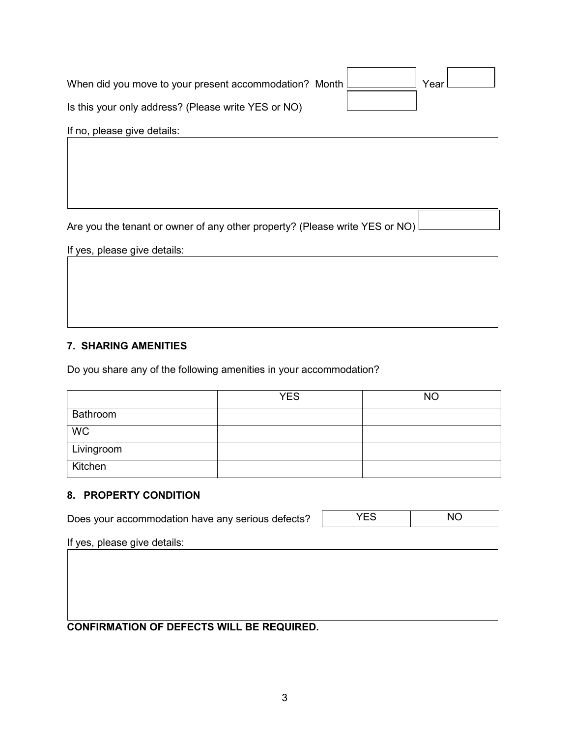| When did you move to your present accommodation? Month $\mathsf{\mathsf{L}}$ |  | Year |  |
|------------------------------------------------------------------------------|--|------|--|
| Is this your only address? (Please write YES or NO)                          |  |      |  |

If no, please give details:

Are you the tenant or owner of any other property? (Please write YES or NO)

If yes, please give details:

# **7. SHARING AMENITIES**

Do you share any of the following amenities in your accommodation?

|            | <b>YES</b> | <b>NO</b> |
|------------|------------|-----------|
| Bathroom   |            |           |
| <b>WC</b>  |            |           |
| Livingroom |            |           |
| Kitchen    |            |           |

## **8. PROPERTY CONDITION**

Does your accommodation have any serious defects? YES | NO

If yes, please give details:

**CONFIRMATION OF DEFECTS WILL BE REQUIRED.**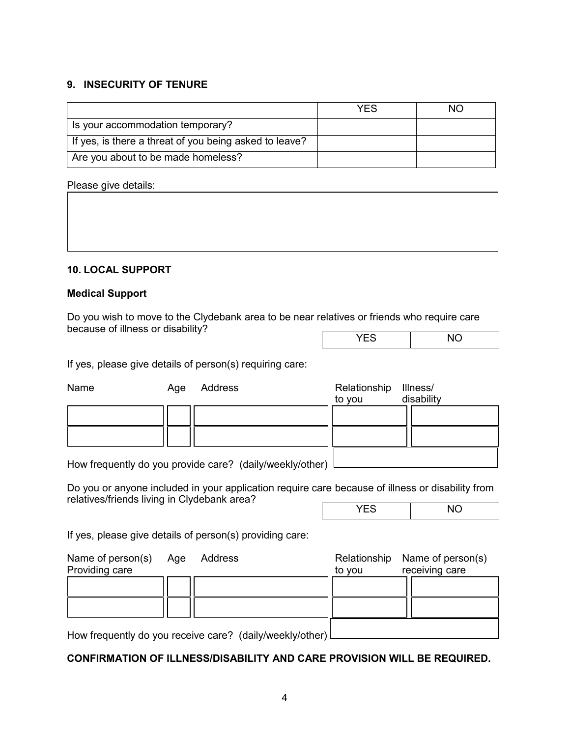## **9. INSECURITY OF TENURE**

|                                                        | YFS | NO. |
|--------------------------------------------------------|-----|-----|
| Is your accommodation temporary?                       |     |     |
| If yes, is there a threat of you being asked to leave? |     |     |
| Are you about to be made homeless?                     |     |     |

## Please give details:

#### **10. LOCAL SUPPORT**

#### **Medical Support**

Do you wish to move to the Clydebank area to be near relatives or friends who require care because of illness or disability?

| $\sim$ $\sim$<br>$-$ | חו<br>$\ddotsc$ |
|----------------------|-----------------|
|                      |                 |

If yes, please give details of person(s) requiring care:

| Name                                        | Age | Address                                                                                          | Relationship<br>to you | Illness/<br>disability              |
|---------------------------------------------|-----|--------------------------------------------------------------------------------------------------|------------------------|-------------------------------------|
|                                             |     |                                                                                                  |                        |                                     |
|                                             |     |                                                                                                  |                        |                                     |
|                                             |     | How frequently do you provide care? (daily/weekly/other)                                         |                        |                                     |
| relatives/friends living in Clydebank area? |     | Do you or anyone included in your application require care because of illness or disability from |                        |                                     |
|                                             |     |                                                                                                  | <b>YES</b>             | <b>NO</b>                           |
|                                             |     | If yes, please give details of person(s) providing care:                                         |                        |                                     |
| Name of person(s)<br>Providing care         | Age | Address                                                                                          | Relationship<br>to you | Name of person(s)<br>receiving care |
|                                             |     |                                                                                                  |                        |                                     |

How frequently do you receive care? (daily/weekly/other)

## **CONFIRMATION OF ILLNESS/DISABILITY AND CARE PROVISION WILL BE REQUIRED.**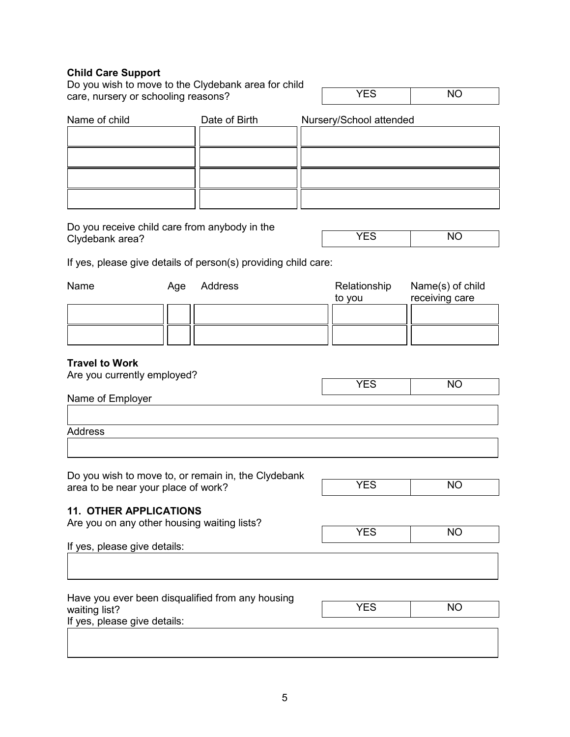#### **Child Care Support**

Do you wish to move to the Clydebank area for child care, nursery or schooling reasons?

YES NO

| Name of child | Date of Birth | Nursery/School attended |
|---------------|---------------|-------------------------|
|               |               |                         |
|               |               |                         |
|               |               |                         |
|               |               |                         |

Do you receive child care from anybody in the Clydebank area?

| $\overline{M}$<br>$\cdot$ . $\sim$ |
|------------------------------------|
|                                    |

If yes, please give details of person(s) providing child care:

| Name | Age | Address | Relationship<br>to vou | Name(s) of child<br>receiving care |
|------|-----|---------|------------------------|------------------------------------|
|      |     |         |                        |                                    |
|      |     |         |                        |                                    |
|      |     |         |                        |                                    |
|      |     |         |                        |                                    |
|      |     |         |                        |                                    |

#### **Travel to Work**

| Are you currently employed? |            |           |
|-----------------------------|------------|-----------|
|                             | <b>YES</b> | <b>NO</b> |
| Name of Employer            |            |           |
|                             |            |           |
| Address                     |            |           |
|                             |            |           |

Do you wish to move to, or remain in, the Clydebank area to be near your place of work?

| — <b>—</b> | $\overline{\phantom{a}}$ |
|------------|--------------------------|
|            |                          |

#### **11. OTHER APPLICATIONS**

Are you on any other housing waiting lists?

| <b>YES</b> | <b>NO</b> |
|------------|-----------|
|------------|-----------|

If yes, please give details:

| Have you ever been disqualified from any housing<br>waiting list? | <b>YES</b> | ΝO |
|-------------------------------------------------------------------|------------|----|
| If yes, please give details:                                      |            |    |
|                                                                   |            |    |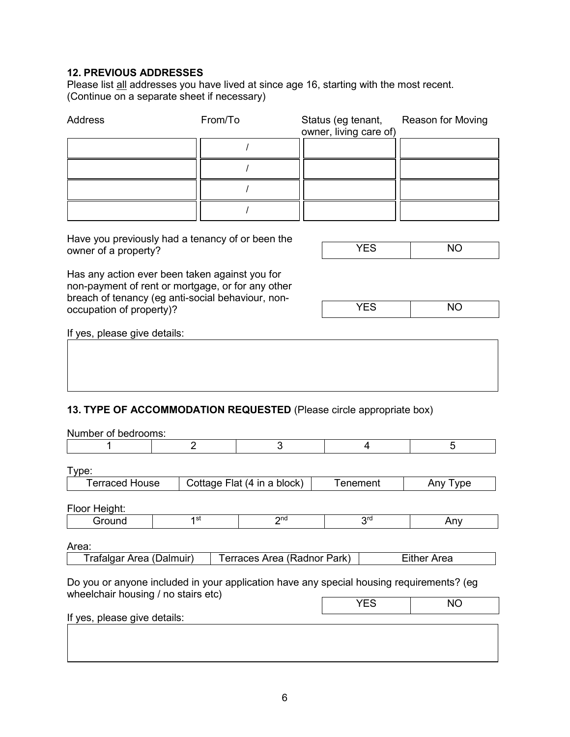## **12. PREVIOUS ADDRESSES**

Please list all addresses you have lived at since age 16, starting with the most recent. (Continue on a separate sheet if necessary)

| Address                                                                                                                                                  | From/To | Status (eg tenant,<br>owner, living care of) | Reason for Moving |
|----------------------------------------------------------------------------------------------------------------------------------------------------------|---------|----------------------------------------------|-------------------|
|                                                                                                                                                          |         |                                              |                   |
|                                                                                                                                                          |         |                                              |                   |
|                                                                                                                                                          |         |                                              |                   |
|                                                                                                                                                          |         |                                              |                   |
| Have you previously had a tenancy of or been the<br>owner of a property?                                                                                 |         | <b>YES</b>                                   | <b>NO</b>         |
| Has any action ever been taken against you for<br>non-payment of rent or mortgage, or for any other<br>breach of tenancy (eg anti-social behaviour, non- |         |                                              |                   |
| occupation of property)?                                                                                                                                 |         | <b>YES</b>                                   | <b>NO</b>         |
| If yes, please give details:                                                                                                                             |         |                                              |                   |
|                                                                                                                                                          |         |                                              |                   |
|                                                                                                                                                          |         |                                              |                   |

# **13. TYPE OF ACCOMMODATION REQUESTED** (Please circle appropriate box)

| Number of bedrooms:                                                                                                             |  |                 |                             |          |                 |           |
|---------------------------------------------------------------------------------------------------------------------------------|--|-----------------|-----------------------------|----------|-----------------|-----------|
|                                                                                                                                 |  | $\overline{2}$  | 3                           |          | $\overline{4}$  | 5         |
|                                                                                                                                 |  |                 |                             |          |                 |           |
| Type:                                                                                                                           |  |                 |                             |          |                 |           |
| <b>Terraced House</b>                                                                                                           |  |                 | Cottage Flat (4 in a block) | Tenement |                 | Any Type  |
|                                                                                                                                 |  |                 |                             |          |                 |           |
| Floor Height:                                                                                                                   |  |                 |                             |          |                 |           |
| Ground                                                                                                                          |  | 1 <sup>st</sup> | 2 <sub>nd</sub>             |          | 3 <sup>rd</sup> | Any       |
|                                                                                                                                 |  |                 |                             |          |                 |           |
| Area:                                                                                                                           |  |                 |                             |          |                 |           |
| Trafalgar Area (Dalmuir)<br>Terraces Area (Radnor Park)<br><b>Either Area</b>                                                   |  |                 |                             |          |                 |           |
| Do you or anyone included in your application have any special housing requirements? (eg<br>wheelchair housing / no stairs etc) |  |                 |                             |          |                 |           |
|                                                                                                                                 |  |                 |                             |          | <b>YES</b>      | <b>NO</b> |
| If yes, please give details:                                                                                                    |  |                 |                             |          |                 |           |
|                                                                                                                                 |  |                 |                             |          |                 |           |
|                                                                                                                                 |  |                 |                             |          |                 |           |
|                                                                                                                                 |  |                 |                             |          |                 |           |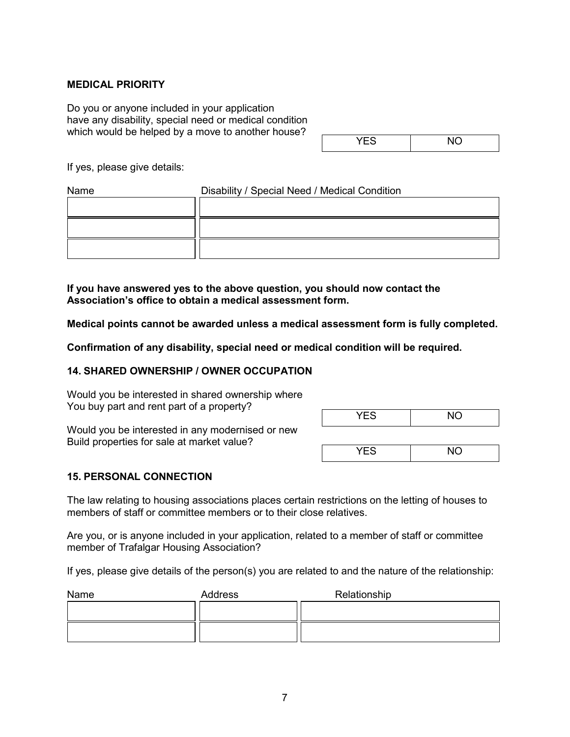#### **MEDICAL PRIORITY**

Do you or anyone included in your application have any disability, special need or medical condition which would be helped by a move to another house?

| $ -$ | $\ddotsc$ |
|------|-----------|

If yes, please give details:

| Name | Disability / Special Need / Medical Condition |  |
|------|-----------------------------------------------|--|
|      |                                               |  |
|      |                                               |  |
|      |                                               |  |

**If you have answered yes to the above question, you should now contact the Association's office to obtain a medical assessment form.**

**Medical points cannot be awarded unless a medical assessment form is fully completed.**

**Confirmation of any disability, special need or medical condition will be required.**

#### **14. SHARED OWNERSHIP / OWNER OCCUPATION**

Would you be interested in shared ownership where You buy part and rent part of a property?

Would you be interested in any modernised or new Build properties for sale at market value?

| <b>YES</b> | <b>NO</b> |
|------------|-----------|
|            |           |
| <b>YES</b> | <b>NO</b> |

#### **15. PERSONAL CONNECTION**

The law relating to housing associations places certain restrictions on the letting of houses to members of staff or committee members or to their close relatives.

Are you, or is anyone included in your application, related to a member of staff or committee member of Trafalgar Housing Association?

If yes, please give details of the person(s) you are related to and the nature of the relationship:

| Name | Address | Relationship |
|------|---------|--------------|
|      |         |              |
|      |         |              |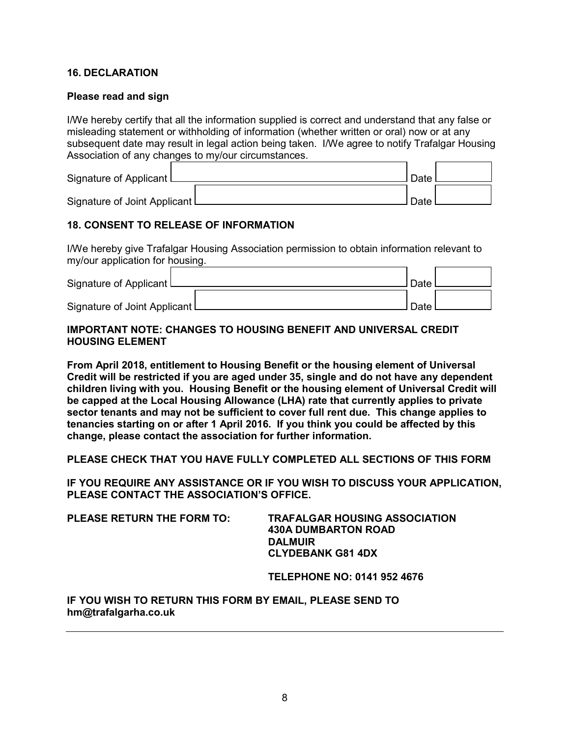#### **16. DECLARATION**

#### **Please read and sign**

I/We hereby certify that all the information supplied is correct and understand that any false or misleading statement or withholding of information (whether written or oral) now or at any subsequent date may result in legal action being taken. I/We agree to notify Trafalgar Housing Association of any changes to my/our circumstances.

| Signature of Applicant L       | Date        |  |
|--------------------------------|-------------|--|
| Signature of Joint Applicant L | <b>Date</b> |  |

## **18. CONSENT TO RELEASE OF INFORMATION**

I/We hereby give Trafalgar Housing Association permission to obtain information relevant to my/our application for housing.

| Signature of Applicant I       | Date |  |
|--------------------------------|------|--|
| Signature of Joint Applicant L | Date |  |

## **IMPORTANT NOTE: CHANGES TO HOUSING BENEFIT AND UNIVERSAL CREDIT HOUSING ELEMENT**

**From April 2018, entitlement to Housing Benefit or the housing element of Universal Credit will be restricted if you are aged under 35, single and do not have any dependent children living with you. Housing Benefit or the housing element of Universal Credit will be capped at the Local Housing Allowance (LHA) rate that currently applies to private sector tenants and may not be sufficient to cover full rent due. This change applies to tenancies starting on or after 1 April 2016. If you think you could be affected by this change, please contact the association for further information.**

**PLEASE CHECK THAT YOU HAVE FULLY COMPLETED ALL SECTIONS OF THIS FORM**

**IF YOU REQUIRE ANY ASSISTANCE OR IF YOU WISH TO DISCUSS YOUR APPLICATION, PLEASE CONTACT THE ASSOCIATION'S OFFICE.**

**PLEASE RETURN THE FORM TO: TRAFALGAR HOUSING ASSOCIATION 430A DUMBARTON ROAD DALMUIR CLYDEBANK G81 4DX**

**TELEPHONE NO: 0141 952 4676**

**IF YOU WISH TO RETURN THIS FORM BY EMAIL, PLEASE SEND TO hm@trafalgarha.co.uk**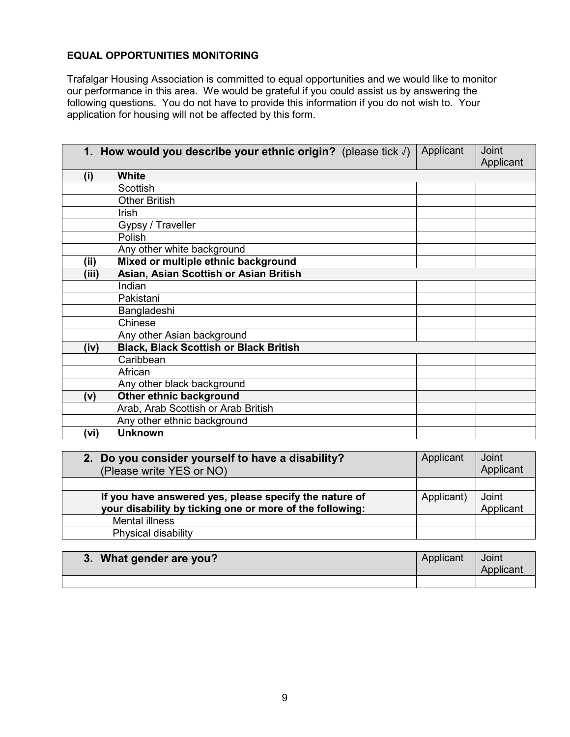## **EQUAL OPPORTUNITIES MONITORING**

Trafalgar Housing Association is committed to equal opportunities and we would like to monitor our performance in this area. We would be grateful if you could assist us by answering the following questions. You do not have to provide this information if you do not wish to. Your application for housing will not be affected by this form.

|       | 1. How would you describe your ethnic origin? (please tick $\sqrt{ }$ ) | Applicant | <b>Joint</b><br>Applicant |
|-------|-------------------------------------------------------------------------|-----------|---------------------------|
| (i)   | <b>White</b>                                                            |           |                           |
|       | Scottish                                                                |           |                           |
|       | <b>Other British</b>                                                    |           |                           |
|       | Irish                                                                   |           |                           |
|       | Gypsy / Traveller                                                       |           |                           |
|       | Polish                                                                  |           |                           |
|       | Any other white background                                              |           |                           |
| (ii)  | Mixed or multiple ethnic background                                     |           |                           |
| (iii) | Asian, Asian Scottish or Asian British                                  |           |                           |
|       | Indian                                                                  |           |                           |
|       | Pakistani                                                               |           |                           |
|       | Bangladeshi                                                             |           |                           |
|       | Chinese                                                                 |           |                           |
|       | Any other Asian background                                              |           |                           |
| (iv)  | <b>Black, Black Scottish or Black British</b>                           |           |                           |
|       | Caribbean                                                               |           |                           |
|       | African                                                                 |           |                           |
|       | Any other black background                                              |           |                           |
| (v)   | Other ethnic background                                                 |           |                           |
|       | Arab, Arab Scottish or Arab British                                     |           |                           |
|       | Any other ethnic background                                             |           |                           |
| (vi)  | <b>Unknown</b>                                                          |           |                           |

| 2. Do you consider yourself to have a disability?<br>(Please write YES or NO) | Applicant  | Joint<br>Applicant |
|-------------------------------------------------------------------------------|------------|--------------------|
|                                                                               |            |                    |
| If you have answered yes, please specify the nature of                        | Applicant) | Joint              |
| your disability by ticking one or more of the following:                      |            | Applicant          |
| Mental illness                                                                |            |                    |
| Physical disability                                                           |            |                    |

| 3. What gender are you? | Applicant | Joint<br>Applicant |
|-------------------------|-----------|--------------------|
|                         |           |                    |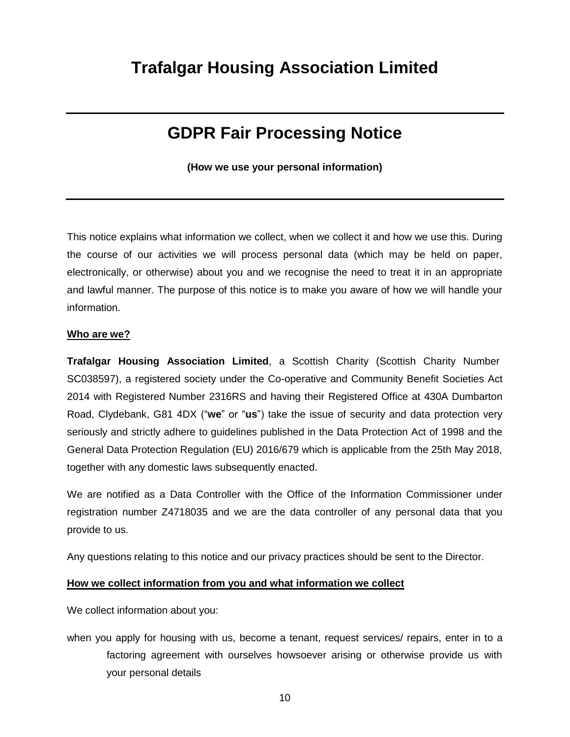# **Trafalgar Housing Association Limited**

# **GDPR Fair Processing Notice**

**(How we use your personal information)**

This notice explains what information we collect, when we collect it and how we use this. During the course of our activities we will process personal data (which may be held on paper, electronically, or otherwise) about you and we recognise the need to treat it in an appropriate and lawful manner. The purpose of this notice is to make you aware of how we will handle your information.

#### **Who are we?**

**Trafalgar Housing Association Limited**, a Scottish Charity (Scottish Charity Number SC038597), a registered society under the Co-operative and Community Benefit Societies Act 2014 with Registered Number 2316RS and having their Registered Office at 430A Dumbarton Road, Clydebank, G81 4DX ("**we**" or "**us**") take the issue of security and data protection very seriously and strictly adhere to guidelines published in the Data Protection Act of 1998 and the General Data Protection Regulation (EU) 2016/679 which is applicable from the 25th May 2018, together with any domestic laws subsequently enacted.

We are notified as a Data Controller with the Office of the Information Commissioner under registration number Z4718035 and we are the data controller of any personal data that you provide to us.

Any questions relating to this notice and our privacy practices should be sent to the Director.

#### **How we collect information from you and what information we collect**

We collect information about you:

when you apply for housing with us, become a tenant, request services/ repairs, enter in to a factoring agreement with ourselves howsoever arising or otherwise provide us with your personal details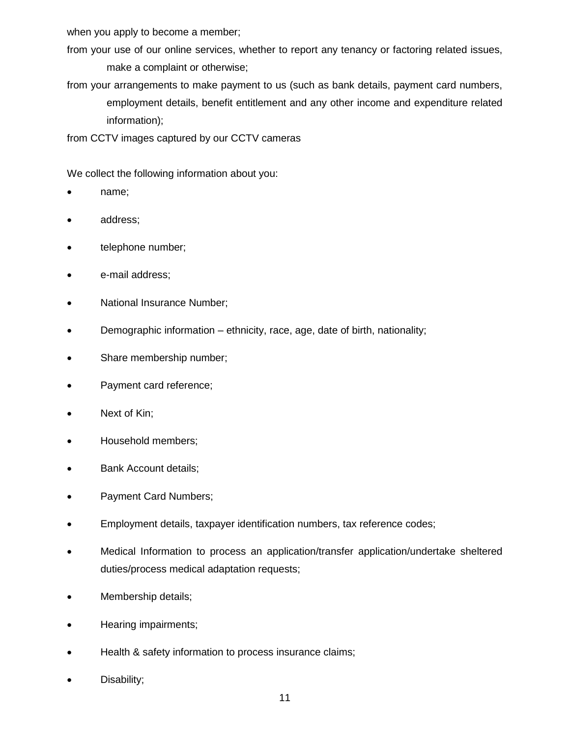when you apply to become a member;

from your use of our online services, whether to report any tenancy or factoring related issues, make a complaint or otherwise;

from your arrangements to make payment to us (such as bank details, payment card numbers, employment details, benefit entitlement and any other income and expenditure related information);

from CCTV images captured by our CCTV cameras

We collect the following information about you:

- name;
- address;
- telephone number;
- e-mail address;
- National Insurance Number;
- Demographic information ethnicity, race, age, date of birth, nationality;
- Share membership number;
- Payment card reference;
- Next of Kin;
- Household members;
- Bank Account details;
- Payment Card Numbers;
- Employment details, taxpayer identification numbers, tax reference codes;
- Medical Information to process an application/transfer application/undertake sheltered duties/process medical adaptation requests;
- Membership details;
- Hearing impairments;
- Health & safety information to process insurance claims;
- Disability;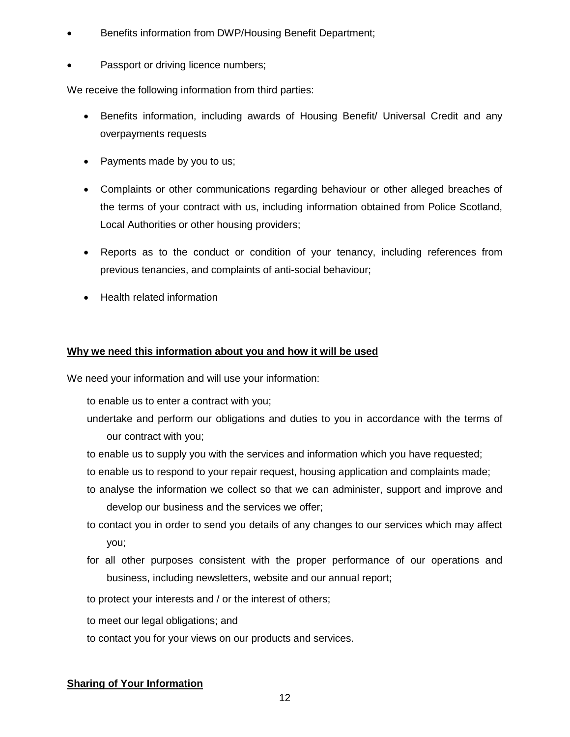- Benefits information from DWP/Housing Benefit Department;
- Passport or driving licence numbers;

We receive the following information from third parties:

- Benefits information, including awards of Housing Benefit/ Universal Credit and any overpayments requests
- Payments made by you to us;
- Complaints or other communications regarding behaviour or other alleged breaches of the terms of your contract with us, including information obtained from Police Scotland, Local Authorities or other housing providers;
- Reports as to the conduct or condition of your tenancy, including references from previous tenancies, and complaints of anti-social behaviour;
- Health related information

#### **Why we need this information about you and how it will be used**

We need your information and will use your information:

to enable us to enter a contract with you;

- undertake and perform our obligations and duties to you in accordance with the terms of our contract with you;
- to enable us to supply you with the services and information which you have requested;
- to enable us to respond to your repair request, housing application and complaints made;
- to analyse the information we collect so that we can administer, support and improve and develop our business and the services we offer;
- to contact you in order to send you details of any changes to our services which may affect you;
- for all other purposes consistent with the proper performance of our operations and business, including newsletters, website and our annual report;
- to protect your interests and / or the interest of others;
- to meet our legal obligations; and
- to contact you for your views on our products and services.

#### **Sharing of Your Information**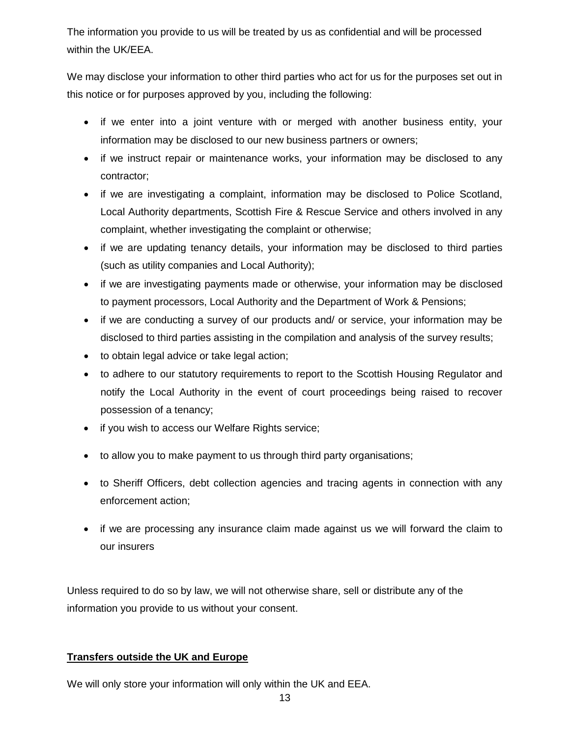The information you provide to us will be treated by us as confidential and will be processed within the UK/EEA.

We may disclose your information to other third parties who act for us for the purposes set out in this notice or for purposes approved by you, including the following:

- if we enter into a joint venture with or merged with another business entity, your information may be disclosed to our new business partners or owners;
- if we instruct repair or maintenance works, your information may be disclosed to any contractor;
- if we are investigating a complaint, information may be disclosed to Police Scotland, Local Authority departments, Scottish Fire & Rescue Service and others involved in any complaint, whether investigating the complaint or otherwise;
- if we are updating tenancy details, your information may be disclosed to third parties (such as utility companies and Local Authority);
- if we are investigating payments made or otherwise, your information may be disclosed to payment processors, Local Authority and the Department of Work & Pensions;
- if we are conducting a survey of our products and/ or service, your information may be disclosed to third parties assisting in the compilation and analysis of the survey results;
- to obtain legal advice or take legal action;
- to adhere to our statutory requirements to report to the Scottish Housing Requlator and notify the Local Authority in the event of court proceedings being raised to recover possession of a tenancy;
- if you wish to access our Welfare Rights service;
- to allow you to make payment to us through third party organisations;
- to Sheriff Officers, debt collection agencies and tracing agents in connection with any enforcement action;
- if we are processing any insurance claim made against us we will forward the claim to our insurers

Unless required to do so by law, we will not otherwise share, sell or distribute any of the information you provide to us without your consent.

# **Transfers outside the UK and Europe**

We will only store your information will only within the UK and EEA.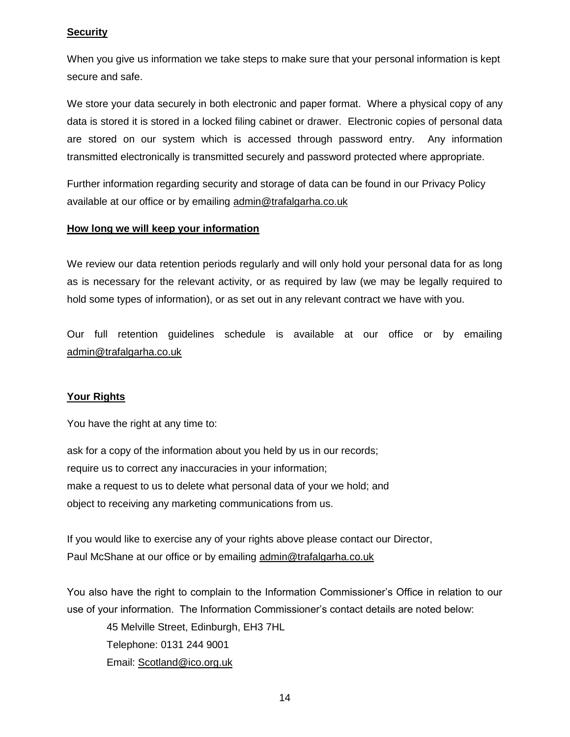## **Security**

When you give us information we take steps to make sure that your personal information is kept secure and safe.

We store your data securely in both electronic and paper format. Where a physical copy of any data is stored it is stored in a locked filing cabinet or drawer. Electronic copies of personal data are stored on our system which is accessed through password entry. Any information transmitted electronically is transmitted securely and password protected where appropriate.

Further information regarding security and storage of data can be found in our Privacy Policy available at our office or by emailing admin@trafalgarha.co.uk

## **How long we will keep your information**

We review our data retention periods regularly and will only hold your personal data for as long as is necessary for the relevant activity, or as required by law (we may be legally required to hold some types of information), or as set out in any relevant contract we have with you.

Our full retention guidelines schedule is available at our office or by emailing admin@trafalgarha.co.uk

# **Your Rights**

You have the right at any time to:

ask for a copy of the information about you held by us in our records; require us to correct any inaccuracies in your information; make a request to us to delete what personal data of your we hold; and object to receiving any marketing communications from us.

If you would like to exercise any of your rights above please contact our Director, Paul McShane at our office or by emailing admin@trafalgarha.co.uk

You also have the right to complain to the Information Commissioner's Office in relation to our use of your information. The Information Commissioner's contact details are noted below:

45 Melville Street, Edinburgh, EH3 7HL Telephone: 0131 244 9001 Email: [Scotland@ico.org.uk](mailto:Scotland@ico.org.uk)